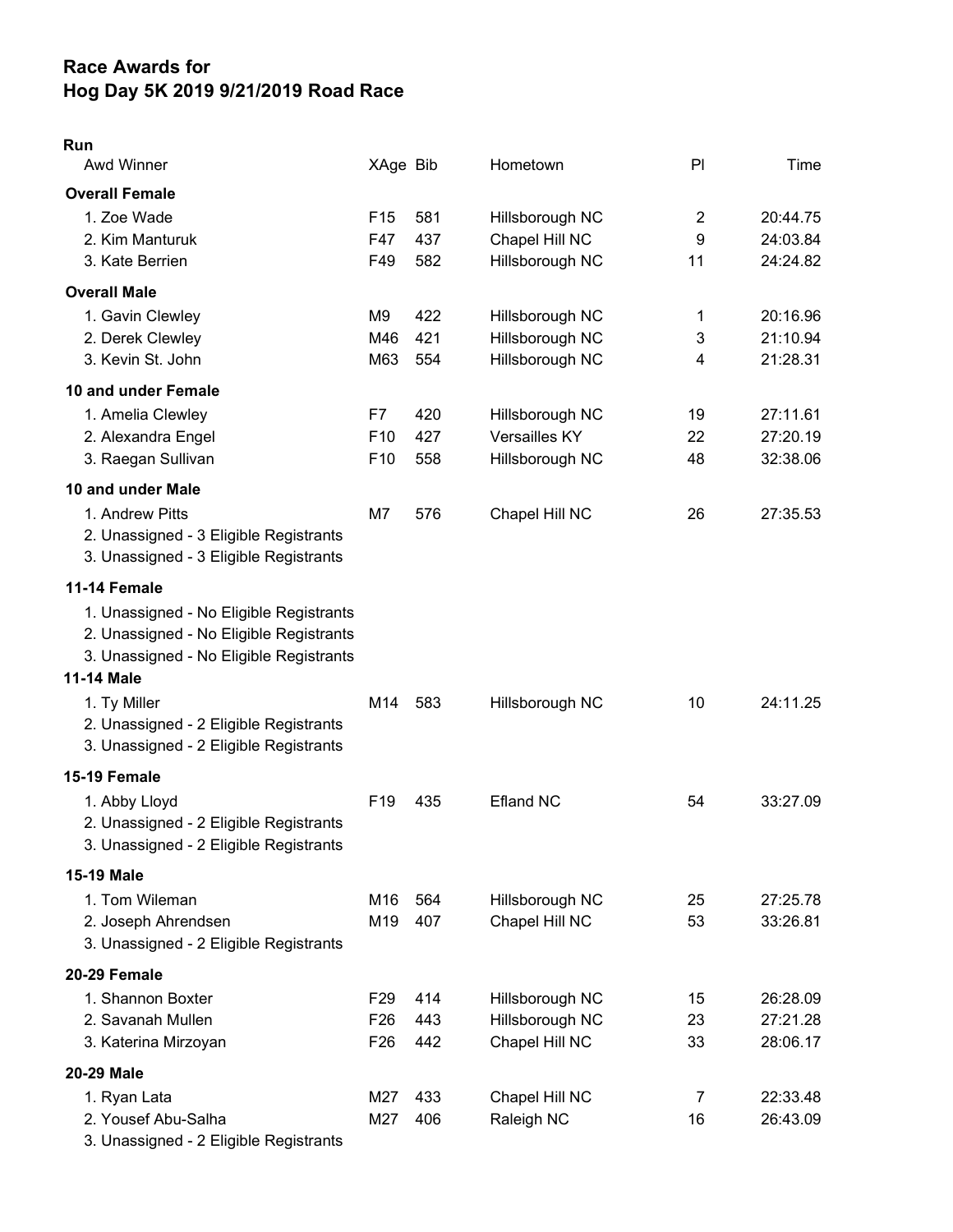## Race Awards for Hog Day 5K 2019 9/21/2019 Road Race

| $\sim$ |  |
|--------|--|

| <b>Awd Winner</b>                       | XAge Bib        |     | Hometown         | PI             | Time     |
|-----------------------------------------|-----------------|-----|------------------|----------------|----------|
| <b>Overall Female</b>                   |                 |     |                  |                |          |
| 1. Zoe Wade                             | F <sub>15</sub> | 581 | Hillsborough NC  | $\overline{2}$ | 20:44.75 |
| 2. Kim Manturuk                         | F47             | 437 | Chapel Hill NC   | 9              | 24:03.84 |
| 3. Kate Berrien                         | F49             | 582 | Hillsborough NC  | 11             | 24:24.82 |
| <b>Overall Male</b>                     |                 |     |                  |                |          |
| 1. Gavin Clewley                        | M9              | 422 | Hillsborough NC  | 1              | 20:16.96 |
| 2. Derek Clewley                        | M46             | 421 | Hillsborough NC  | 3              | 21:10.94 |
| 3. Kevin St. John                       | M63             | 554 | Hillsborough NC  | 4              | 21:28.31 |
| 10 and under Female                     |                 |     |                  |                |          |
| 1. Amelia Clewley                       | F7              | 420 | Hillsborough NC  | 19             | 27:11.61 |
| 2. Alexandra Engel                      | F <sub>10</sub> | 427 | Versailles KY    | 22             | 27:20.19 |
| 3. Raegan Sullivan                      | F <sub>10</sub> | 558 | Hillsborough NC  | 48             | 32:38.06 |
| 10 and under Male                       |                 |     |                  |                |          |
| 1. Andrew Pitts                         | M7              | 576 | Chapel Hill NC   | 26             | 27:35.53 |
| 2. Unassigned - 3 Eligible Registrants  |                 |     |                  |                |          |
| 3. Unassigned - 3 Eligible Registrants  |                 |     |                  |                |          |
| 11-14 Female                            |                 |     |                  |                |          |
| 1. Unassigned - No Eligible Registrants |                 |     |                  |                |          |
| 2. Unassigned - No Eligible Registrants |                 |     |                  |                |          |
| 3. Unassigned - No Eligible Registrants |                 |     |                  |                |          |
| <b>11-14 Male</b>                       |                 |     |                  |                |          |
| 1. Ty Miller                            | M14             | 583 | Hillsborough NC  | 10             | 24:11.25 |
| 2. Unassigned - 2 Eligible Registrants  |                 |     |                  |                |          |
| 3. Unassigned - 2 Eligible Registrants  |                 |     |                  |                |          |
| 15-19 Female                            |                 |     |                  |                |          |
| 1. Abby Lloyd                           | F <sub>19</sub> | 435 | <b>Efland NC</b> | 54             | 33:27.09 |
| 2. Unassigned - 2 Eligible Registrants  |                 |     |                  |                |          |
| 3. Unassigned - 2 Eligible Registrants  |                 |     |                  |                |          |
| 15-19 Male                              |                 |     |                  |                |          |
| 1. Tom Wileman                          | M16             | 564 | Hillsborough NC  | 25             | 27:25.78 |
| 2. Joseph Ahrendsen                     | M19             | 407 | Chapel Hill NC   | 53             | 33:26.81 |
| 3. Unassigned - 2 Eligible Registrants  |                 |     |                  |                |          |
| 20-29 Female                            |                 |     |                  |                |          |
| 1. Shannon Boxter                       | F <sub>29</sub> | 414 | Hillsborough NC  | 15             | 26:28.09 |
| 2. Savanah Mullen                       | F <sub>26</sub> | 443 | Hillsborough NC  | 23             | 27:21.28 |
| 3. Katerina Mirzoyan                    | F <sub>26</sub> | 442 | Chapel Hill NC   | 33             | 28:06.17 |
| 20-29 Male                              |                 |     |                  |                |          |
| 1. Ryan Lata                            | M27             | 433 | Chapel Hill NC   | $\overline{7}$ | 22:33.48 |
| 2. Yousef Abu-Salha                     | M27             | 406 | Raleigh NC       | 16             | 26:43.09 |
| 3. Unassigned - 2 Eligible Registrants  |                 |     |                  |                |          |